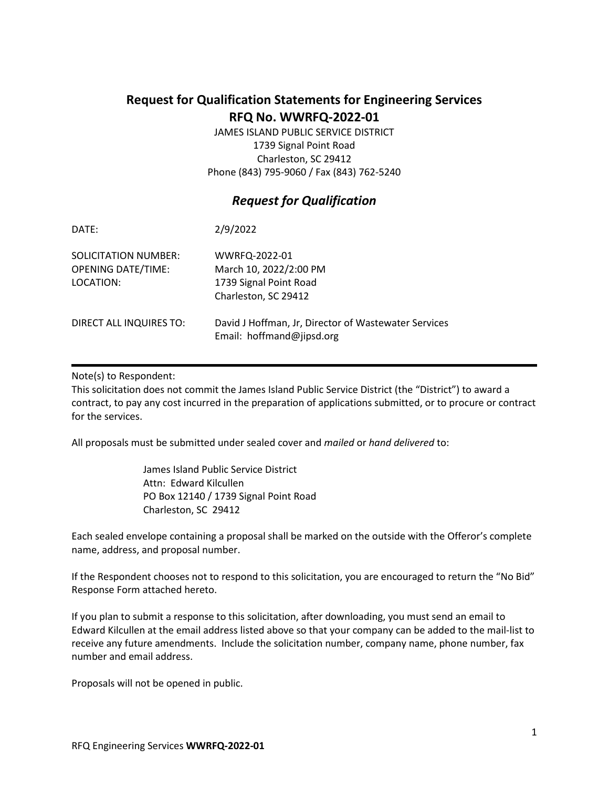# **Request for Qualification Statements for Engineering Services RFQ No. WWRFQ-2022-01**

JAMES ISLAND PUBLIC SERVICE DISTRICT 1739 Signal Point Road Charleston, SC 29412 Phone (843) 795-9060 / Fax (843) 762-5240

# *Request for Qualification*

| DATE:                                                          | 2/9/2022                                                                                  |
|----------------------------------------------------------------|-------------------------------------------------------------------------------------------|
| SOLICITATION NUMBER:<br><b>OPENING DATE/TIME:</b><br>LOCATION: | WWRFQ-2022-01<br>March 10, 2022/2:00 PM<br>1739 Signal Point Road<br>Charleston, SC 29412 |
| DIRECT ALL INQUIRES TO:                                        | David J Hoffman, Jr, Director of Wastewater Services<br>Email: hoffmand@jipsd.org         |

## Note(s) to Respondent:

This solicitation does not commit the James Island Public Service District (the "District") to award a contract, to pay any cost incurred in the preparation of applications submitted, or to procure or contract for the services.

All proposals must be submitted under sealed cover and *mailed* or *hand delivered* to:

James Island Public Service District Attn: Edward Kilcullen PO Box 12140 / 1739 Signal Point Road Charleston, SC 29412

Each sealed envelope containing a proposal shall be marked on the outside with the Offeror's complete name, address, and proposal number.

If the Respondent chooses not to respond to this solicitation, you are encouraged to return the "No Bid" Response Form attached hereto.

If you plan to submit a response to this solicitation, after downloading, you must send an email to Edward Kilcullen at the email address listed above so that your company can be added to the mail-list to receive any future amendments. Include the solicitation number, company name, phone number, fax number and email address.

Proposals will not be opened in public.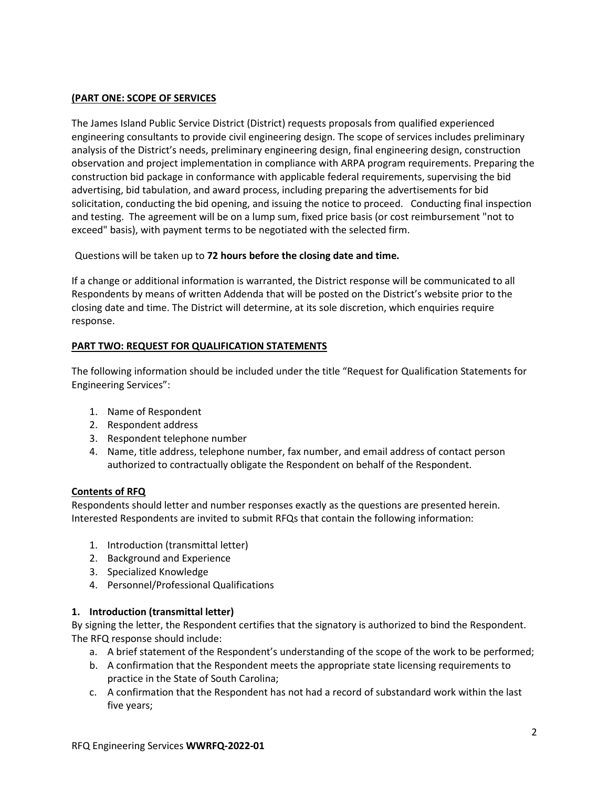## **(PART ONE: SCOPE OF SERVICES**

The James Island Public Service District (District) requests proposals from qualified experienced engineering consultants to provide civil engineering design. The scope of services includes preliminary analysis of the District's needs, preliminary engineering design, final engineering design, construction observation and project implementation in compliance with ARPA program requirements. Preparing the construction bid package in conformance with applicable federal requirements, supervising the bid advertising, bid tabulation, and award process, including preparing the advertisements for bid solicitation, conducting the bid opening, and issuing the notice to proceed. Conducting final inspection and testing. The agreement will be on a lump sum, fixed price basis (or cost reimbursement "not to exceed" basis), with payment terms to be negotiated with the selected firm.

Questions will be taken up to **72 hours before the closing date and time.**

If a change or additional information is warranted, the District response will be communicated to all Respondents by means of written Addenda that will be posted on the District's website prior to the closing date and time. The District will determine, at its sole discretion, which enquiries require response.

## **PART TWO: REQUEST FOR QUALIFICATION STATEMENTS**

The following information should be included under the title "Request for Qualification Statements for Engineering Services":

- 1. Name of Respondent
- 2. Respondent address
- 3. Respondent telephone number
- 4. Name, title address, telephone number, fax number, and email address of contact person authorized to contractually obligate the Respondent on behalf of the Respondent.

### **Contents of RFQ**

Respondents should letter and number responses exactly as the questions are presented herein. Interested Respondents are invited to submit RFQs that contain the following information:

- 1. Introduction (transmittal letter)
- 2. Background and Experience
- 3. Specialized Knowledge
- 4. Personnel/Professional Qualifications

### **1. Introduction (transmittal letter)**

By signing the letter, the Respondent certifies that the signatory is authorized to bind the Respondent. The RFQ response should include:

- a. A brief statement of the Respondent's understanding of the scope of the work to be performed;
- b. A confirmation that the Respondent meets the appropriate state licensing requirements to practice in the State of South Carolina;
- c. A confirmation that the Respondent has not had a record of substandard work within the last five years;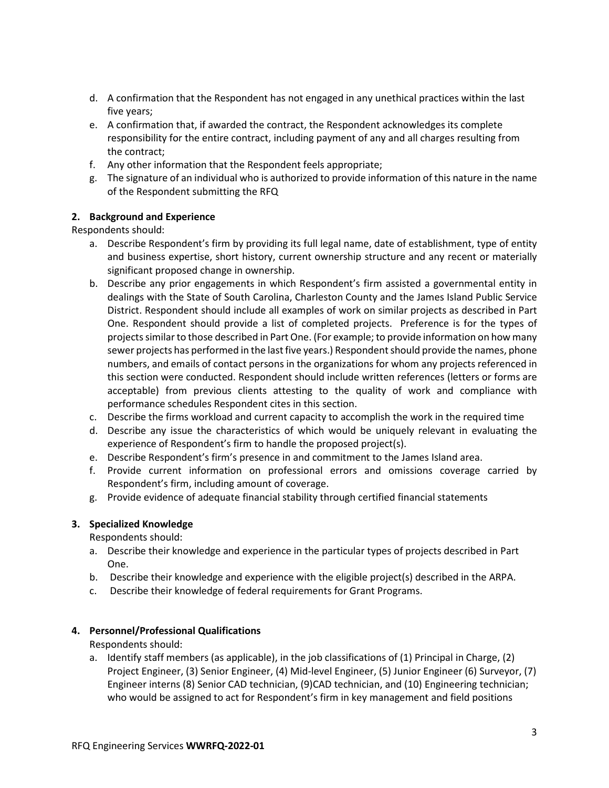- d. A confirmation that the Respondent has not engaged in any unethical practices within the last five years;
- e. A confirmation that, if awarded the contract, the Respondent acknowledges its complete responsibility for the entire contract, including payment of any and all charges resulting from the contract;
- f. Any other information that the Respondent feels appropriate;
- g. The signature of an individual who is authorized to provide information of this nature in the name of the Respondent submitting the RFQ

## **2. Background and Experience**

Respondents should:

- a. Describe Respondent's firm by providing its full legal name, date of establishment, type of entity and business expertise, short history, current ownership structure and any recent or materially significant proposed change in ownership.
- b. Describe any prior engagements in which Respondent's firm assisted a governmental entity in dealings with the State of South Carolina, Charleston County and the James Island Public Service District. Respondent should include all examples of work on similar projects as described in Part One. Respondent should provide a list of completed projects. Preference is for the types of projects similar to those described in Part One. (For example; to provide information on how many sewer projects has performed in the last five years.) Respondent should provide the names, phone numbers, and emails of contact persons in the organizations for whom any projects referenced in this section were conducted. Respondent should include written references (letters or forms are acceptable) from previous clients attesting to the quality of work and compliance with performance schedules Respondent cites in this section.
- c. Describe the firms workload and current capacity to accomplish the work in the required time
- d. Describe any issue the characteristics of which would be uniquely relevant in evaluating the experience of Respondent's firm to handle the proposed project(s).
- e. Describe Respondent's firm's presence in and commitment to the James Island area.
- f. Provide current information on professional errors and omissions coverage carried by Respondent's firm, including amount of coverage.
- g. Provide evidence of adequate financial stability through certified financial statements

### **3. Specialized Knowledge**

Respondents should:

- a. Describe their knowledge and experience in the particular types of projects described in Part One.
- b. Describe their knowledge and experience with the eligible project(s) described in the ARPA.
- c. Describe their knowledge of federal requirements for Grant Programs.

### **4. Personnel/Professional Qualifications**

Respondents should:

a. Identify staff members (as applicable), in the job classifications of (1) Principal in Charge, (2) Project Engineer, (3) Senior Engineer, (4) Mid-level Engineer, (5) Junior Engineer (6) Surveyor, (7) Engineer interns (8) Senior CAD technician, (9)CAD technician, and (10) Engineering technician; who would be assigned to act for Respondent's firm in key management and field positions